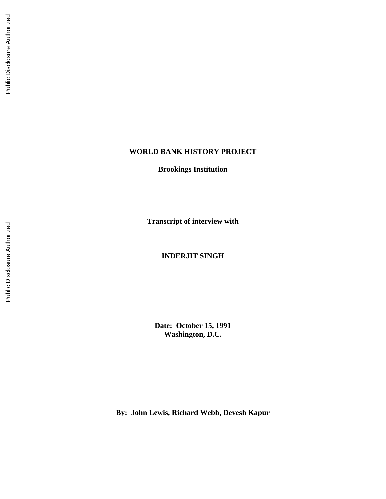## **WORLD BANK HISTORY PROJECT**

**Brookings Institution**

**Transcript of interview with**

**INDERJIT SINGH**

**Date: October 15, 1991 Washington, D.C.**

**By: John Lewis, Richard Webb, Devesh Kapur**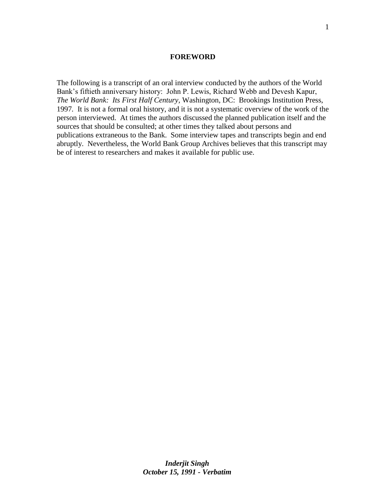#### **FOREWORD**

The following is a transcript of an oral interview conducted by the authors of the World Bank's fiftieth anniversary history: John P. Lewis, Richard Webb and Devesh Kapur, *The World Bank: Its First Half Century,* Washington, DC: Brookings Institution Press, 1997*.* It is not a formal oral history, and it is not a systematic overview of the work of the person interviewed. At times the authors discussed the planned publication itself and the sources that should be consulted; at other times they talked about persons and publications extraneous to the Bank. Some interview tapes and transcripts begin and end abruptly. Nevertheless, the World Bank Group Archives believes that this transcript may be of interest to researchers and makes it available for public use.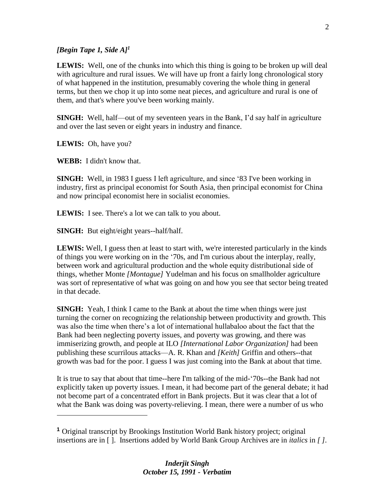## *[Begin Tape 1, Side A]<sup>1</sup>*

**LEWIS:** Well, one of the chunks into which this thing is going to be broken up will deal with agriculture and rural issues. We will have up front a fairly long chronological story of what happened in the institution, presumably covering the whole thing in general terms, but then we chop it up into some neat pieces, and agriculture and rural is one of them, and that's where you've been working mainly.

**SINGH:** Well, half—out of my seventeen years in the Bank, I'd say half in agriculture and over the last seven or eight years in industry and finance.

**LEWIS:** Oh, have you?

 $\overline{a}$ 

**WEBB:** I didn't know that.

**SINGH:** Well, in 1983 I guess I left agriculture, and since '83 I've been working in industry, first as principal economist for South Asia, then principal economist for China and now principal economist here in socialist economies.

**LEWIS:** I see. There's a lot we can talk to you about.

**SINGH:** But eight/eight years--half/half.

**LEWIS:** Well, I guess then at least to start with, we're interested particularly in the kinds of things you were working on in the '70s, and I'm curious about the interplay, really, between work and agricultural production and the whole equity distributional side of things, whether Monte *[Montague]* Yudelman and his focus on smallholder agriculture was sort of representative of what was going on and how you see that sector being treated in that decade.

**SINGH:** Yeah, I think I came to the Bank at about the time when things were just turning the corner on recognizing the relationship between productivity and growth. This was also the time when there's a lot of international hullabaloo about the fact that the Bank had been neglecting poverty issues, and poverty was growing, and there was immiserizing growth, and people at ILO *[International Labor Organization]* had been publishing these scurrilous attacks—A. R. Khan and *[Keith]* Griffin and others--that growth was bad for the poor. I guess I was just coming into the Bank at about that time.

It is true to say that about that time--here I'm talking of the mid-'70s--the Bank had not explicitly taken up poverty issues. I mean, it had become part of the general debate; it had not become part of a concentrated effort in Bank projects. But it was clear that a lot of what the Bank was doing was poverty-relieving. I mean, there were a number of us who

**<sup>1</sup>** Original transcript by Brookings Institution World Bank history project; original insertions are in [ ]. Insertions added by World Bank Group Archives are in *italics* in *[ ].*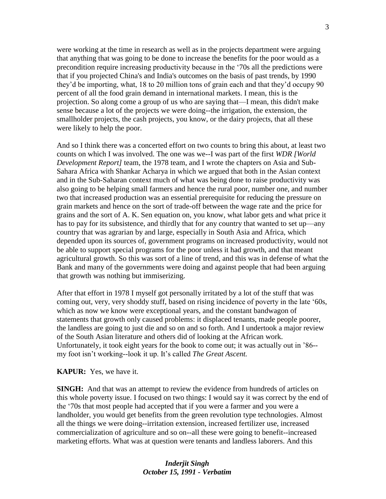were working at the time in research as well as in the projects department were arguing that anything that was going to be done to increase the benefits for the poor would as a precondition require increasing productivity because in the '70s all the predictions were that if you projected China's and India's outcomes on the basis of past trends, by 1990 they'd be importing, what, 18 to 20 million tons of grain each and that they'd occupy 90 percent of all the food grain demand in international markets. I mean, this is the projection. So along come a group of us who are saying that—I mean, this didn't make sense because a lot of the projects we were doing--the irrigation, the extension, the smallholder projects, the cash projects, you know, or the dairy projects, that all these were likely to help the poor.

And so I think there was a concerted effort on two counts to bring this about, at least two counts on which I was involved. The one was we--I was part of the first *WDR [World Development Report]* team, the 1978 team, and I wrote the chapters on Asia and Sub-Sahara Africa with Shankar Acharya in which we argued that both in the Asian context and in the Sub-Saharan context much of what was being done to raise productivity was also going to be helping small farmers and hence the rural poor, number one, and number two that increased production was an essential prerequisite for reducing the pressure on grain markets and hence on the sort of trade-off between the wage rate and the price for grains and the sort of A. K. Sen equation on, you know, what labor gets and what price it has to pay for its subsistence, and thirdly that for any country that wanted to set up—any country that was agrarian by and large, especially in South Asia and Africa, which depended upon its sources of, government programs on increased productivity, would not be able to support special programs for the poor unless it had growth, and that meant agricultural growth. So this was sort of a line of trend, and this was in defense of what the Bank and many of the governments were doing and against people that had been arguing that growth was nothing but immiserizing.

After that effort in 1978 I myself got personally irritated by a lot of the stuff that was coming out, very, very shoddy stuff, based on rising incidence of poverty in the late '60s, which as now we know were exceptional years, and the constant bandwagon of statements that growth only caused problems: it displaced tenants, made people poorer, the landless are going to just die and so on and so forth. And I undertook a major review of the South Asian literature and others did of looking at the African work. Unfortunately, it took eight years for the book to come out; it was actually out in '86- my foot isn't working--look it up. It's called *The Great Ascent.*

#### **KAPUR:** Yes, we have it.

**SINGH:** And that was an attempt to review the evidence from hundreds of articles on this whole poverty issue. I focused on two things: I would say it was correct by the end of the '70s that most people had accepted that if you were a farmer and you were a landholder, you would get benefits from the green revolution type technologies. Almost all the things we were doing--irritation extension, increased fertilizer use, increased commercialization of agriculture and so on--all these were going to benefit--increased marketing efforts. What was at question were tenants and landless laborers. And this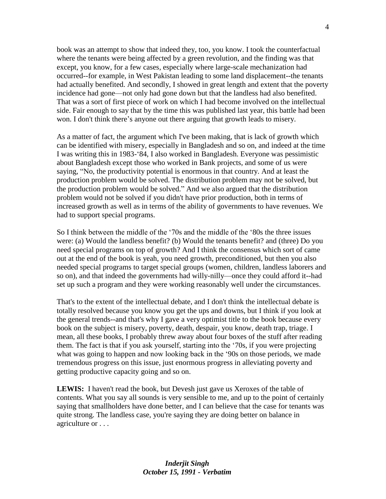book was an attempt to show that indeed they, too, you know. I took the counterfactual where the tenants were being affected by a green revolution, and the finding was that except, you know, for a few cases, especially where large-scale mechanization had occurred--for example, in West Pakistan leading to some land displacement--the tenants had actually benefited. And secondly, I showed in great length and extent that the poverty incidence had gone—not only had gone down but that the landless had also benefited. That was a sort of first piece of work on which I had become involved on the intellectual side. Fair enough to say that by the time this was published last year, this battle had been won. I don't think there's anyone out there arguing that growth leads to misery.

As a matter of fact, the argument which I've been making, that is lack of growth which can be identified with misery, especially in Bangladesh and so on, and indeed at the time I was writing this in 1983-'84, I also worked in Bangladesh. Everyone was pessimistic about Bangladesh except those who worked in Bank projects, and some of us were saying, "No, the productivity potential is enormous in that country. And at least the production problem would be solved. The distribution problem may not be solved, but the production problem would be solved." And we also argued that the distribution problem would not be solved if you didn't have prior production, both in terms of increased growth as well as in terms of the ability of governments to have revenues. We had to support special programs.

So I think between the middle of the '70s and the middle of the '80s the three issues were: (a) Would the landless benefit? (b) Would the tenants benefit? and (three) Do you need special programs on top of growth? And I think the consensus which sort of came out at the end of the book is yeah, you need growth, preconditioned, but then you also needed special programs to target special groups (women, children, landless laborers and so on), and that indeed the governments had willy-nilly—once they could afford it--had set up such a program and they were working reasonably well under the circumstances.

That's to the extent of the intellectual debate, and I don't think the intellectual debate is totally resolved because you know you get the ups and downs, but I think if you look at the general trends--and that's why I gave a very optimist title to the book because every book on the subject is misery, poverty, death, despair, you know, death trap, triage. I mean, all these books, I probably threw away about four boxes of the stuff after reading them. The fact is that if you ask yourself, starting into the '70s, if you were projecting what was going to happen and now looking back in the '90s on those periods, we made tremendous progress on this issue, just enormous progress in alleviating poverty and getting productive capacity going and so on.

**LEWIS:** I haven't read the book, but Devesh just gave us Xeroxes of the table of contents. What you say all sounds is very sensible to me, and up to the point of certainly saying that smallholders have done better, and I can believe that the case for tenants was quite strong. The landless case, you're saying they are doing better on balance in agriculture or . . .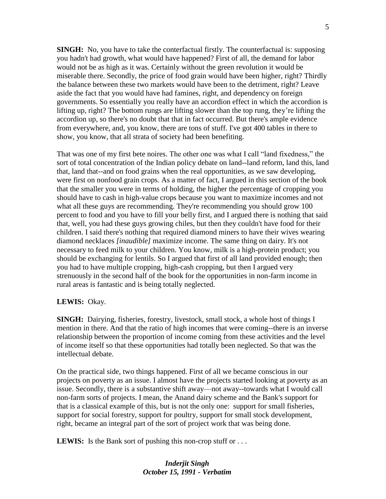**SINGH:** No, you have to take the conterfactual firstly. The counterfactual is: supposing you hadn't had growth, what would have happened? First of all, the demand for labor would not be as high as it was. Certainly without the green revolution it would be miserable there. Secondly, the price of food grain would have been higher, right? Thirdly the balance between these two markets would have been to the detriment, right? Leave aside the fact that you would have had famines, right, and dependency on foreign governments. So essentially you really have an accordion effect in which the accordion is lifting up, right? The bottom rungs are lifting slower than the top rung, they're lifting the accordion up, so there's no doubt that that in fact occurred. But there's ample evidence from everywhere, and, you know, there are tons of stuff. I've got 400 tables in there to show, you know, that all strata of society had been benefiting.

That was one of my first bete noires. The other one was what I call "land fixedness," the sort of total concentration of the Indian policy debate on land--land reform, land this, land that, land that--and on food grains when the real opportunities, as we saw developing, were first on nonfood grain crops. As a matter of fact, I argued in this section of the book that the smaller you were in terms of holding, the higher the percentage of cropping you should have to cash in high-value crops because you want to maximize incomes and not what all these guys are recommending. They're recommending you should grow 100 percent to food and you have to fill your belly first, and I argued there is nothing that said that, well, you had these guys growing chiles, but then they couldn't have food for their children. I said there's nothing that required diamond miners to have their wives wearing diamond necklaces *[inaudible]* maximize income. The same thing on dairy. It's not necessary to feed milk to your children. You know, milk is a high-protein product; you should be exchanging for lentils. So I argued that first of all land provided enough; then you had to have multiple cropping, high-cash cropping, but then I argued very strenuously in the second half of the book for the opportunities in non-farm income in rural areas is fantastic and is being totally neglected.

#### **LEWIS:** Okay.

**SINGH:** Dairying, fisheries, forestry, livestock, small stock, a whole host of things I mention in there. And that the ratio of high incomes that were coming--there is an inverse relationship between the proportion of income coming from these activities and the level of income itself so that these opportunities had totally been neglected. So that was the intellectual debate.

On the practical side, two things happened. First of all we became conscious in our projects on poverty as an issue. I almost have the projects started looking at poverty as an issue. Secondly, there is a substantive shift away—not away--towards what I would call non-farm sorts of projects. I mean, the Anand dairy scheme and the Bank's support for that is a classical example of this, but is not the only one: support for small fisheries, support for social forestry, support for poultry, support for small stock development, right, became an integral part of the sort of project work that was being done.

**LEWIS:** Is the Bank sort of pushing this non-crop stuff or ...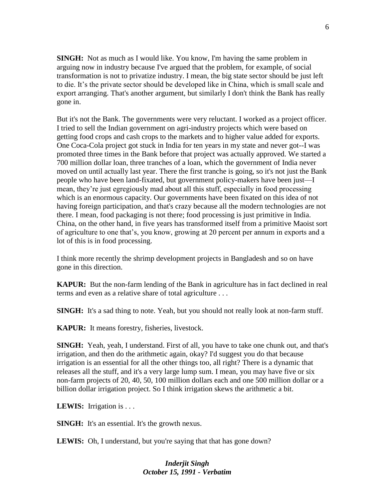**SINGH:** Not as much as I would like. You know, I'm having the same problem in arguing now in industry because I've argued that the problem, for example, of social transformation is not to privatize industry. I mean, the big state sector should be just left to die. It's the private sector should be developed like in China, which is small scale and export arranging. That's another argument, but similarly I don't think the Bank has really gone in.

But it's not the Bank. The governments were very reluctant. I worked as a project officer. I tried to sell the Indian government on agri-industry projects which were based on getting food crops and cash crops to the markets and to higher value added for exports. One Coca-Cola project got stuck in India for ten years in my state and never got--I was promoted three times in the Bank before that project was actually approved. We started a 700 million dollar loan, three tranches of a loan, which the government of India never moved on until actually last year. There the first tranche is going, so it's not just the Bank people who have been land-fixated, but government policy-makers have been just—I mean, they're just egregiously mad about all this stuff, especially in food processing which is an enormous capacity. Our governments have been fixated on this idea of not having foreign participation, and that's crazy because all the modern technologies are not there. I mean, food packaging is not there; food processing is just primitive in India. China, on the other hand, in five years has transformed itself from a primitive Maoist sort of agriculture to one that's, you know, growing at 20 percent per annum in exports and a lot of this is in food processing.

I think more recently the shrimp development projects in Bangladesh and so on have gone in this direction.

**KAPUR:** But the non-farm lending of the Bank in agriculture has in fact declined in real terms and even as a relative share of total agriculture . . .

**SINGH:** It's a sad thing to note. Yeah, but you should not really look at non-farm stuff.

**KAPUR:** It means forestry, fisheries, livestock.

**SINGH:** Yeah, yeah, I understand. First of all, you have to take one chunk out, and that's irrigation, and then do the arithmetic again, okay? I'd suggest you do that because irrigation is an essential for all the other things too, all right? There is a dynamic that releases all the stuff, and it's a very large lump sum. I mean, you may have five or six non-farm projects of 20, 40, 50, 100 million dollars each and one 500 million dollar or a billion dollar irrigation project. So I think irrigation skews the arithmetic a bit.

**LEWIS:** Irrigation is . . .

**SINGH:** It's an essential. It's the growth nexus.

**LEWIS:** Oh, I understand, but you're saying that that has gone down?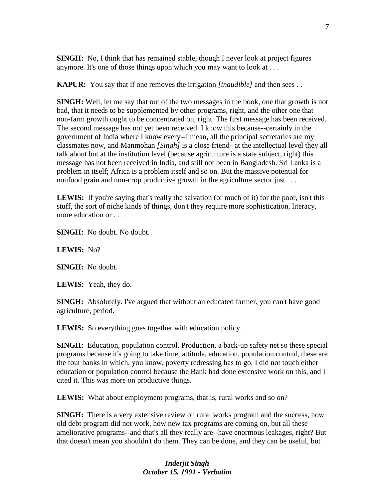**SINGH:** No, I think that has remained stable, though I never look at project figures anymore. It's one of those things upon which you may want to look at . . .

**KAPUR:** You say that if one removes the irrigation *[inaudible]* and then sees . .

**SINGH:** Well, let me say that out of the two messages in the book, one that growth is not bad, that it needs to be supplemented by other programs, right, and the other one that non-farm growth ought to be concentrated on, right. The first message has been received. The second message has not yet been received. I know this because--certainly in the government of India where I know every--I mean, all the principal secretaries are my classmates now, and Manmohan *[Singh]* is a close friend--at the intellectual level they all talk about but at the institution level (because agriculture is a state subject, right) this message has not been received in India, and still not been in Bangladesh. Sri Lanka is a problem in itself; Africa is a problem itself and so on. But the massive potential for nonfood grain and non-crop productive growth in the agriculture sector just . . .

LEWIS: If you're saying that's really the salvation (or much of it) for the poor, isn't this stuff, the sort of niche kinds of things, don't they require more sophistication, literacy, more education or . . .

**SINGH:** No doubt. No doubt.

**LEWIS:** No?

**SINGH:** No doubt.

**LEWIS:** Yeah, they do.

**SINGH:** Absolutely. I've argued that without an educated farmer, you can't have good agriculture, period.

**LEWIS:** So everything goes together with education policy.

**SINGH:** Education, population control. Production, a back-up safety net so these special programs because it's going to take time, attitude, education, population control, these are the four banks in which, you know, poverty redressing has to go. I did not touch either education or population control because the Bank had done extensive work on this, and I cited it. This was more on productive things.

**LEWIS:** What about employment programs, that is, rural works and so on?

**SINGH:** There is a very extensive review on rural works program and the success, how old debt program did not work, how new tax programs are coming on, but all these ameliorative programs--and that's all they really are--have enormous leakages, right? But that doesn't mean you shouldn't do them. They can be done, and they can be useful, but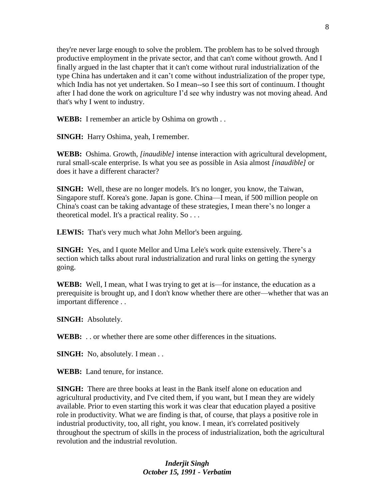they're never large enough to solve the problem. The problem has to be solved through productive employment in the private sector, and that can't come without growth. And I finally argued in the last chapter that it can't come without rural industrialization of the type China has undertaken and it can't come without industrialization of the proper type, which India has not yet undertaken. So I mean--so I see this sort of continuum. I thought after I had done the work on agriculture I'd see why industry was not moving ahead. And that's why I went to industry.

**WEBB:** I remember an article by Oshima on growth...

**SINGH:** Harry Oshima, yeah, I remember.

**WEBB:** Oshima. Growth, *[inaudible]* intense interaction with agricultural development, rural small-scale enterprise. Is what you see as possible in Asia almost *[inaudible]* or does it have a different character?

**SINGH:** Well, these are no longer models. It's no longer, you know, the Taiwan, Singapore stuff. Korea's gone. Japan is gone. China—I mean, if 500 million people on China's coast can be taking advantage of these strategies, I mean there's no longer a theoretical model. It's a practical reality. So . . .

**LEWIS:** That's very much what John Mellor's been arguing.

**SINGH:** Yes, and I quote Mellor and Uma Lele's work quite extensively. There's a section which talks about rural industrialization and rural links on getting the synergy going.

**WEBB:** Well, I mean, what I was trying to get at is—for instance, the education as a prerequisite is brought up, and I don't know whether there are other—whether that was an important difference . .

**SINGH:** Absolutely.

**WEBB:** . . or whether there are some other differences in the situations.

**SINGH:** No, absolutely. I mean . .

**WEBB:** Land tenure, for instance.

**SINGH:** There are three books at least in the Bank itself alone on education and agricultural productivity, and I've cited them, if you want, but I mean they are widely available. Prior to even starting this work it was clear that education played a positive role in productivity. What we are finding is that, of course, that plays a positive role in industrial productivity, too, all right, you know. I mean, it's correlated positively throughout the spectrum of skills in the process of industrialization, both the agricultural revolution and the industrial revolution.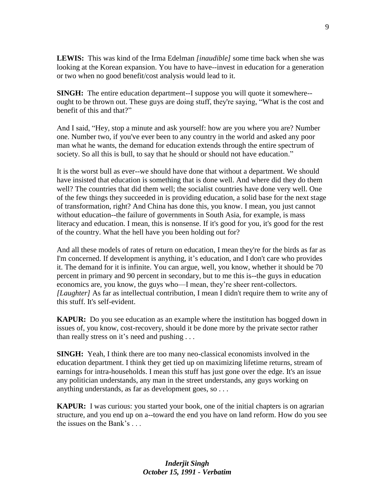**LEWIS:** This was kind of the Irma Edelman *[inaudible]* some time back when she was looking at the Korean expansion. You have to have--invest in education for a generation or two when no good benefit/cost analysis would lead to it.

**SINGH:** The entire education department--I suppose you will quote it somewhere-ought to be thrown out. These guys are doing stuff, they're saying, "What is the cost and benefit of this and that?"

And I said, "Hey, stop a minute and ask yourself: how are you where you are? Number one. Number two, if you've ever been to any country in the world and asked any poor man what he wants, the demand for education extends through the entire spectrum of society. So all this is bull, to say that he should or should not have education."

It is the worst bull as ever--we should have done that without a department. We should have insisted that education is something that is done well. And where did they do them well? The countries that did them well; the socialist countries have done very well. One of the few things they succeeded in is providing education, a solid base for the next stage of transformation, right? And China has done this, you know. I mean, you just cannot without education--the failure of governments in South Asia, for example, is mass literacy and education. I mean, this is nonsense. If it's good for you, it's good for the rest of the country. What the hell have you been holding out for?

And all these models of rates of return on education, I mean they're for the birds as far as I'm concerned. If development is anything, it's education, and I don't care who provides it. The demand for it is infinite. You can argue, well, you know, whether it should be 70 percent in primary and 90 percent in secondary, but to me this is--the guys in education economics are, you know, the guys who—I mean, they're sheer rent-collectors. *[Laughter]* As far as intellectual contribution, I mean I didn't require them to write any of this stuff. It's self-evident.

**KAPUR:** Do you see education as an example where the institution has bogged down in issues of, you know, cost-recovery, should it be done more by the private sector rather than really stress on it's need and pushing . . .

**SINGH:** Yeah, I think there are too many neo-classical economists involved in the education department. I think they get tied up on maximizing lifetime returns, stream of earnings for intra-households. I mean this stuff has just gone over the edge. It's an issue any politician understands, any man in the street understands, any guys working on anything understands, as far as development goes, so . . .

**KAPUR:** I was curious: you started your book, one of the initial chapters is on agrarian structure, and you end up on a--toward the end you have on land reform. How do you see the issues on the Bank's . . .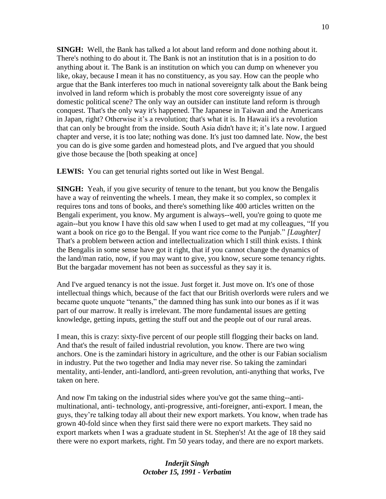**SINGH:** Well, the Bank has talked a lot about land reform and done nothing about it. There's nothing to do about it. The Bank is not an institution that is in a position to do anything about it. The Bank is an institution on which you can dump on whenever you like, okay, because I mean it has no constituency, as you say. How can the people who argue that the Bank interferes too much in national sovereignty talk about the Bank being involved in land reform which is probably the most core sovereignty issue of any domestic political scene? The only way an outsider can institute land reform is through conquest. That's the only way it's happened. The Japanese in Taiwan and the Americans in Japan, right? Otherwise it's a revolution; that's what it is. In Hawaii it's a revolution that can only be brought from the inside. South Asia didn't have it; it's late now. I argued chapter and verse, it is too late; nothing was done. It's just too damned late. Now, the best you can do is give some garden and homestead plots, and I've argued that you should give those because the [both speaking at once]

**LEWIS:** You can get tenurial rights sorted out like in West Bengal.

**SINGH:** Yeah, if you give security of tenure to the tenant, but you know the Bengalis have a way of reinventing the wheels. I mean, they make it so complex, so complex it requires tons and tons of books, and there's something like 400 articles written on the Bengali experiment, you know. My argument is always--well, you're going to quote me again--but you know I have this old saw when I used to get mad at my colleagues, "If you want a book on rice go to the Bengal. If you want rice come to the Punjab." *[Laughter]*  That's a problem between action and intellectualization which I still think exists. I think the Bengalis in some sense have got it right, that if you cannot change the dynamics of the land/man ratio, now, if you may want to give, you know, secure some tenancy rights. But the bargadar movement has not been as successful as they say it is.

And I've argued tenancy is not the issue. Just forget it. Just move on. It's one of those intellectual things which, because of the fact that our British overlords were rulers and we became quote unquote "tenants," the damned thing has sunk into our bones as if it was part of our marrow. It really is irrelevant. The more fundamental issues are getting knowledge, getting inputs, getting the stuff out and the people out of our rural areas.

I mean, this is crazy: sixty-five percent of our people still flogging their backs on land. And that's the result of failed industrial revolution, you know. There are two wing anchors. One is the zamindari history in agriculture, and the other is our Fabian socialism in industry. Put the two together and India may never rise. So taking the zamindari mentality, anti-lender, anti-landlord, anti-green revolution, anti-anything that works, I've taken on here.

And now I'm taking on the industrial sides where you've got the same thing--antimultinational, anti- technology, anti-progressive, anti-foreigner, anti-export. I mean, the guys, they're talking today all about their new export markets. You know, when trade has grown 40-fold since when they first said there were no export markets. They said no export markets when I was a graduate student in St. Stephen's! At the age of 18 they said there were no export markets, right. I'm 50 years today, and there are no export markets.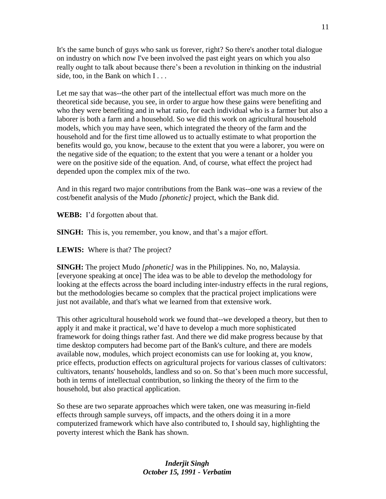It's the same bunch of guys who sank us forever, right? So there's another total dialogue on industry on which now I've been involved the past eight years on which you also really ought to talk about because there's been a revolution in thinking on the industrial side, too, in the Bank on which I...

Let me say that was--the other part of the intellectual effort was much more on the theoretical side because, you see, in order to argue how these gains were benefiting and who they were benefiting and in what ratio, for each individual who is a farmer but also a laborer is both a farm and a household. So we did this work on agricultural household models, which you may have seen, which integrated the theory of the farm and the household and for the first time allowed us to actually estimate to what proportion the benefits would go, you know, because to the extent that you were a laborer, you were on the negative side of the equation; to the extent that you were a tenant or a holder you were on the positive side of the equation. And, of course, what effect the project had depended upon the complex mix of the two.

And in this regard two major contributions from the Bank was--one was a review of the cost/benefit analysis of the Mudo *[phonetic]* project, which the Bank did.

**WEBB:** I'd forgotten about that.

**SINGH:** This is, you remember, you know, and that's a major effort.

**LEWIS:** Where is that? The project?

**SINGH:** The project Mudo *[phonetic]* was in the Philippines. No, no, Malaysia. [everyone speaking at once] The idea was to be able to develop the methodology for looking at the effects across the board including inter-industry effects in the rural regions, but the methodologies became so complex that the practical project implications were just not available, and that's what we learned from that extensive work.

This other agricultural household work we found that--we developed a theory, but then to apply it and make it practical, we'd have to develop a much more sophisticated framework for doing things rather fast. And there we did make progress because by that time desktop computers had become part of the Bank's culture, and there are models available now, modules, which project economists can use for looking at, you know, price effects, production effects on agricultural projects for various classes of cultivators: cultivators, tenants' households, landless and so on. So that's been much more successful, both in terms of intellectual contribution, so linking the theory of the firm to the household, but also practical application.

So these are two separate approaches which were taken, one was measuring in-field effects through sample surveys, off impacts, and the others doing it in a more computerized framework which have also contributed to, I should say, highlighting the poverty interest which the Bank has shown.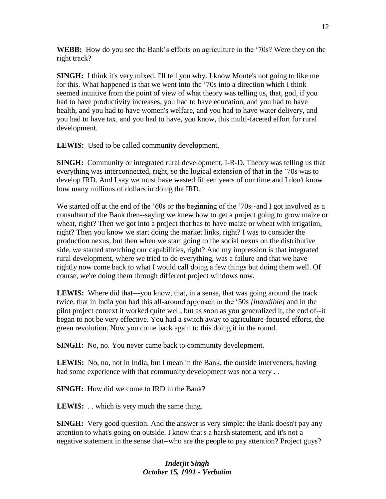**WEBB:** How do you see the Bank's efforts on agriculture in the '70s? Were they on the right track?

**SINGH:** I think it's very mixed. I'll tell you why. I know Monte's not going to like me for this. What happened is that we went into the '70s into a direction which I think seemed intuitive from the point of view of what theory was telling us, that, god, if you had to have productivity increases, you had to have education, and you had to have health, and you had to have women's welfare, and you had to have water delivery, and you had to have tax, and you had to have, you know, this multi-faceted effort for rural development.

LEWIS: Used to be called community development.

**SINGH:** Community or integrated rural development, I-R-D. Theory was telling us that everything was interconnected, right, so the logical extension of that in the '70s was to develop IRD. And I say we must have wasted fifteen years of our time and I don't know how many millions of dollars in doing the IRD.

We started off at the end of the '60s or the beginning of the '70s--and I got involved as a consultant of the Bank then--saying we knew how to get a project going to grow maize or wheat, right? Then we got into a project that has to have maize or wheat with irrigation, right? Then you know we start doing the market links, right? I was to consider the production nexus, but then when we start going to the social nexus on the distributive side, we started stretching our capabilities, right? And my impression is that integrated rural development, where we tried to do everything, was a failure and that we have rightly now come back to what I would call doing a few things but doing them well. Of course, we're doing them through different project windows now.

**LEWIS:** Where did that—you know, that, in a sense, that was going around the track twice, that in India you had this all-around approach in the '50s *[inaudible]* and in the pilot project context it worked quite well, but as soon as you generalized it, the end of--it began to not be very effective. You had a switch away to agriculture-focused efforts, the green revolution. Now you come back again to this doing it in the round.

**SINGH:** No, no. You never came back to community development.

**LEWIS:** No, no, not in India, but I mean in the Bank, the outside interveners, having had some experience with that community development was not a very ...

**SINGH:** How did we come to IRD in the Bank?

**LEWIS:** . . which is very much the same thing.

**SINGH:** Very good question. And the answer is very simple: the Bank doesn't pay any attention to what's going on outside. I know that's a harsh statement, and it's not a negative statement in the sense that--who are the people to pay attention? Project guys?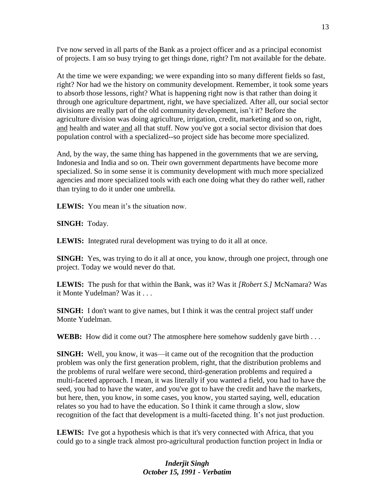I've now served in all parts of the Bank as a project officer and as a principal economist of projects. I am so busy trying to get things done, right? I'm not available for the debate.

At the time we were expanding; we were expanding into so many different fields so fast, right? Nor had we the history on community development. Remember, it took some years to absorb those lessons, right? What is happening right now is that rather than doing it through one agriculture department, right, we have specialized. After all, our social sector divisions are really part of the old community development, isn't it? Before the agriculture division was doing agriculture, irrigation, credit, marketing and so on, right, and health and water and all that stuff. Now you've got a social sector division that does population control with a specialized--so project side has become more specialized.

And, by the way, the same thing has happened in the governments that we are serving, Indonesia and India and so on. Their own government departments have become more specialized. So in some sense it is community development with much more specialized agencies and more specialized tools with each one doing what they do rather well, rather than trying to do it under one umbrella.

**LEWIS:** You mean it's the situation now.

**SINGH:** Today.

**LEWIS:** Integrated rural development was trying to do it all at once.

**SINGH:** Yes, was trying to do it all at once, you know, through one project, through one project. Today we would never do that.

**LEWIS:** The push for that within the Bank, was it? Was it *[Robert S.]* McNamara? Was it Monte Yudelman? Was it . . .

**SINGH:** I don't want to give names, but I think it was the central project staff under Monte Yudelman.

**WEBB:** How did it come out? The atmosphere here somehow suddenly gave birth . . .

**SINGH:** Well, you know, it was—it came out of the recognition that the production problem was only the first generation problem, right, that the distribution problems and the problems of rural welfare were second, third-generation problems and required a multi-faceted approach. I mean, it was literally if you wanted a field, you had to have the seed, you had to have the water, and you've got to have the credit and have the markets, but here, then, you know, in some cases, you know, you started saying, well, education relates so you had to have the education. So I think it came through a slow, slow recognition of the fact that development is a multi-faceted thing. It's not just production.

**LEWIS:** I've got a hypothesis which is that it's very connected with Africa, that you could go to a single track almost pro-agricultural production function project in India or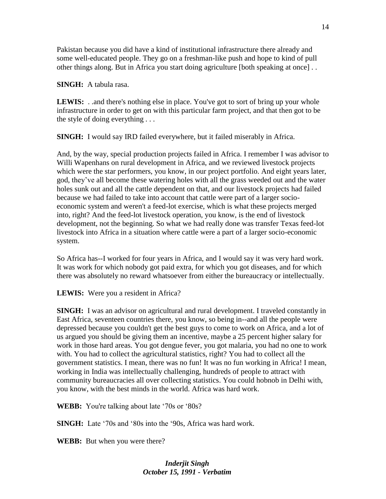Pakistan because you did have a kind of institutional infrastructure there already and some well-educated people. They go on a freshman-like push and hope to kind of pull other things along. But in Africa you start doing agriculture [both speaking at once] . .

**SINGH:** A tabula rasa.

**LEWIS:** . .and there's nothing else in place. You've got to sort of bring up your whole infrastructure in order to get on with this particular farm project, and that then got to be the style of doing everything . . .

**SINGH:** I would say IRD failed everywhere, but it failed miserably in Africa.

And, by the way, special production projects failed in Africa. I remember I was advisor to Willi Wapenhans on rural development in Africa, and we reviewed livestock projects which were the star performers, you know, in our project portfolio. And eight years later, god, they've all become these watering holes with all the grass weeded out and the water holes sunk out and all the cattle dependent on that, and our livestock projects had failed because we had failed to take into account that cattle were part of a larger socioeconomic system and weren't a feed-lot exercise, which is what these projects merged into, right? And the feed-lot livestock operation, you know, is the end of livestock development, not the beginning. So what we had really done was transfer Texas feed-lot livestock into Africa in a situation where cattle were a part of a larger socio-economic system.

So Africa has--I worked for four years in Africa, and I would say it was very hard work. It was work for which nobody got paid extra, for which you got diseases, and for which there was absolutely no reward whatsoever from either the bureaucracy or intellectually.

**LEWIS:** Were you a resident in Africa?

**SINGH:** I was an advisor on agricultural and rural development. I traveled constantly in East Africa, seventeen countries there, you know, so being in--and all the people were depressed because you couldn't get the best guys to come to work on Africa, and a lot of us argued you should be giving them an incentive, maybe a 25 percent higher salary for work in those hard areas. You got dengue fever, you got malaria, you had no one to work with. You had to collect the agricultural statistics, right? You had to collect all the government statistics. I mean, there was no fun! It was no fun working in Africa! I mean, working in India was intellectually challenging, hundreds of people to attract with community bureaucracies all over collecting statistics. You could hobnob in Delhi with, you know, with the best minds in the world. Africa was hard work.

**WEBB:** You're talking about late '70s or '80s?

**SINGH:** Late '70s and '80s into the '90s, Africa was hard work.

**WEBB:** But when you were there?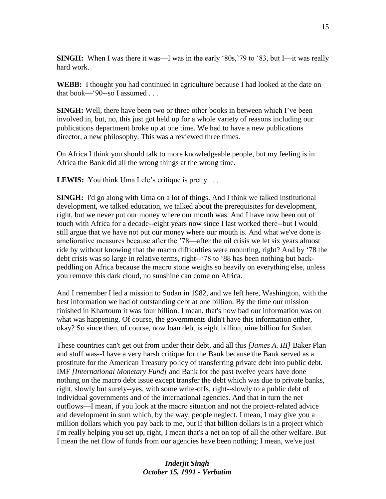**SINGH:** When I was there it was—I was in the early '80s,'79 to '83, but I—it was really hard work.

**WEBB:** I thought you had continued in agriculture because I had looked at the date on that book—' $90$ --so I assumed ...

**SINGH:** Well, there have been two or three other books in between which I've been involved in, but, no, this just got held up for a whole variety of reasons including our publications department broke up at one time. We had to have a new publications director, a new philosophy. This was a reviewed three times.

On Africa I think you should talk to more knowledgeable people, but my feeling is in Africa the Bank did all the wrong things at the wrong time.

LEWIS: You think Uma Lele's critique is pretty . . .

**SINGH:** I'd go along with Uma on a lot of things. And I think we talked institutional development, we talked education, we talked about the prerequisites for development, right, but we never put our money where our mouth was. And I have now been out of touch with Africa for a decade--eight years now since I last worked there--but I would still argue that we have not put our money where our mouth is. And what we've done is ameliorative measures because after the '78—after the oil crisis we let six years almost ride by without knowing that the macro difficulties were mounting, right? And by '78 the debt crisis was so large in relative terms, right--'78 to '88 has been nothing but backpeddling on Africa because the macro stone weighs so heavily on everything else, unless you remove this dark cloud, no sunshine can come on Africa.

And I remember I led a mission to Sudan in 1982, and we left here, Washington, with the best information we had of outstanding debt at one billion. By the time our mission finished in Khartoum it was four billion. I mean, that's how bad our information was on what was happening. Of course, the governments didn't have this information either, okay? So since then, of course, now loan debt is eight billion, nine billion for Sudan.

These countries can't get out from under their debt, and all this *[James A. III]* Baker Plan and stuff was--I have a very harsh critique for the Bank because the Bank served as a prostitute for the American Treasury policy of transferring private debt into public debt. IMF *[International Monetary Fund]* and Bank for the past twelve years have done nothing on the macro debt issue except transfer the debt which was due to private banks, right, slowly but surely--yes, with some write-offs, right--slowly to a public debt of individual governments and of the international agencies. And that in turn the net outflows—I mean, if you look at the macro situation and not the project-related advice and development in sum which, by the way, people neglect. I mean, I may give you a million dollars which you pay back to me, but if that billion dollars is in a project which I'm really helping you set up, right, I mean that's a net on top of all the other welfare. But I mean the net flow of funds from our agencies have been nothing; I mean, we've just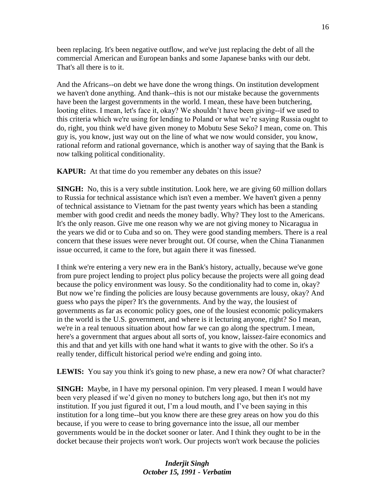been replacing. It's been negative outflow, and we've just replacing the debt of all the commercial American and European banks and some Japanese banks with our debt. That's all there is to it.

And the Africans--on debt we have done the wrong things. On institution development we haven't done anything. And thank--this is not our mistake because the governments have been the largest governments in the world. I mean, these have been butchering, looting elites. I mean, let's face it, okay? We shouldn't have been giving--if we used to this criteria which we're using for lending to Poland or what we're saying Russia ought to do, right, you think we'd have given money to Mobutu Sese Seko? I mean, come on. This guy is, you know, just way out on the line of what we now would consider, you know, rational reform and rational governance, which is another way of saying that the Bank is now talking political conditionality.

**KAPUR:** At that time do you remember any debates on this issue?

**SINGH:** No, this is a very subtle institution. Look here, we are giving 60 million dollars to Russia for technical assistance which isn't even a member. We haven't given a penny of technical assistance to Vietnam for the past twenty years which has been a standing member with good credit and needs the money badly. Why? They lost to the Americans. It's the only reason. Give me one reason why we are not giving money to Nicaragua in the years we did or to Cuba and so on. They were good standing members. There is a real concern that these issues were never brought out. Of course, when the China Tiananmen issue occurred, it came to the fore, but again there it was finessed.

I think we're entering a very new era in the Bank's history, actually, because we've gone from pure project lending to project plus policy because the projects were all going dead because the policy environment was lousy. So the conditionality had to come in, okay? But now we're finding the policies are lousy because governments are lousy, okay? And guess who pays the piper? It's the governments. And by the way, the lousiest of governments as far as economic policy goes, one of the lousiest economic policymakers in the world is the U.S. government, and where is it lecturing anyone, right? So I mean, we're in a real tenuous situation about how far we can go along the spectrum. I mean, here's a government that argues about all sorts of, you know, laissez-faire economics and this and that and yet kills with one hand what it wants to give with the other. So it's a really tender, difficult historical period we're ending and going into.

**LEWIS:** You say you think it's going to new phase, a new era now? Of what character?

**SINGH:** Maybe, in I have my personal opinion. I'm very pleased. I mean I would have been very pleased if we'd given no money to butchers long ago, but then it's not my institution. If you just figured it out, I'm a loud mouth, and I've been saying in this institution for a long time--but you know there are these grey areas on how you do this because, if you were to cease to bring governance into the issue, all our member governments would be in the docket sooner or later. And I think they ought to be in the docket because their projects won't work. Our projects won't work because the policies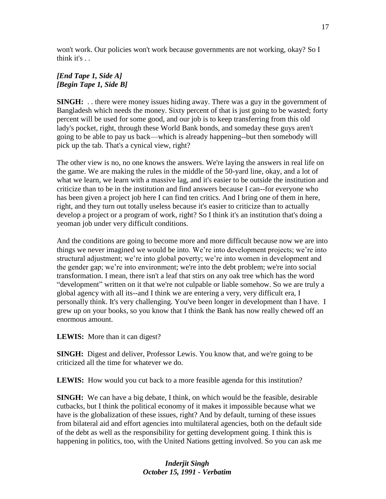won't work. Our policies won't work because governments are not working, okay? So I think it's . .

## *[End Tape 1, Side A] [Begin Tape 1, Side B]*

**SINGH:** . . there were money issues hiding away. There was a guy in the government of Bangladesh which needs the money. Sixty percent of that is just going to be wasted; forty percent will be used for some good, and our job is to keep transferring from this old lady's pocket, right, through these World Bank bonds, and someday these guys aren't going to be able to pay us back—which is already happening--but then somebody will pick up the tab. That's a cynical view, right?

The other view is no, no one knows the answers. We're laying the answers in real life on the game. We are making the rules in the middle of the 50-yard line, okay, and a lot of what we learn, we learn with a massive lag, and it's easier to be outside the institution and criticize than to be in the institution and find answers because I can--for everyone who has been given a project job here I can find ten critics. And I bring one of them in here, right, and they turn out totally useless because it's easier to criticize than to actually develop a project or a program of work, right? So I think it's an institution that's doing a yeoman job under very difficult conditions.

And the conditions are going to become more and more difficult because now we are into things we never imagined we would be into. We're into development projects; we're into structural adjustment; we're into global poverty; we're into women in development and the gender gap; we're into environment; we're into the debt problem; we're into social transformation. I mean, there isn't a leaf that stirs on any oak tree which has the word "development" written on it that we're not culpable or liable somehow. So we are truly a global agency with all its--and I think we are entering a very, very difficult era, I personally think. It's very challenging. You've been longer in development than I have. I grew up on your books, so you know that I think the Bank has now really chewed off an enormous amount.

**LEWIS:** More than it can digest?

**SINGH:** Digest and deliver, Professor Lewis. You know that, and we're going to be criticized all the time for whatever we do.

**LEWIS:** How would you cut back to a more feasible agenda for this institution?

**SINGH:** We can have a big debate, I think, on which would be the feasible, desirable cutbacks, but I think the political economy of it makes it impossible because what we have is the globalization of these issues, right? And by default, turning of these issues from bilateral aid and effort agencies into multilateral agencies, both on the default side of the debt as well as the responsibility for getting development going. I think this is happening in politics, too, with the United Nations getting involved. So you can ask me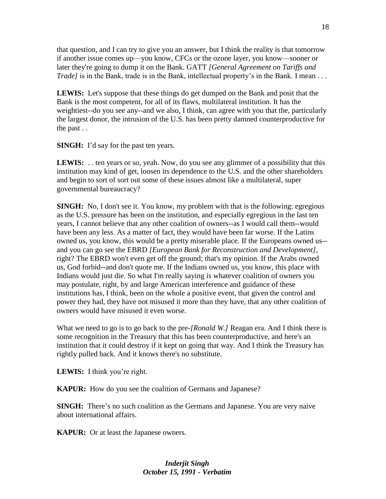that question, and I can try to give you an answer, but I think the reality is that tomorrow if another issue comes up—you know, CFCs or the ozone layer, you know—sooner or later they're going to dump it on the Bank. GATT *[General Agreement on Tariffs and Trade]* is in the Bank, trade is in the Bank, intellectual property's in the Bank. I mean . . .

**LEWIS:** Let's suppose that these things do get dumped on the Bank and posit that the Bank is the most competent, for all of its flaws, multilateral institution. It has the weightiest--do you see any--and we also, I think, can agree with you that the, particularly the largest donor, the intrusion of the U.S. has been pretty damned counterproductive for the past . .

**SINGH:** I'd say for the past ten years.

**LEWIS:** . . ten years or so, yeah. Now, do you see any glimmer of a possibility that this institution may kind of get, loosen its dependence to the U.S. and the other shareholders and begin to sort of sort out some of these issues almost like a multilateral, super governmental bureaucracy?

**SINGH:** No, I don't see it. You know, my problem with that is the following: egregious as the U.S. pressure has been on the institution, and especially egregious in the last ten years, I cannot believe that any other coalition of owners--as I would call them--would have been any less. As a matter of fact, they would have been far worse. If the Latins owned us, you know, this would be a pretty miserable place. If the Europeans owned us- and you can go see the EBRD *[European Bank for Reconstruction and Development]*, right? The EBRD won't even get off the ground; that's my opinion. If the Arabs owned us, God forbid--and don't quote me. If the Indians owned us, you know, this place with Indians would just die. So what I'm really saying is whatever coalition of owners you may postulate, right, by and large American interference and guidance of these institutions has, I think, been on the whole a positive event, that given the control and power they had, they have not misused it more than they have, that any other coalition of owners would have misused it even worse.

What we need to go is to go back to the pre-*[Ronald W.]* Reagan era. And I think there is some recognition in the Treasury that this has been counterproductive, and here's an institution that it could destroy if it kept on going that way. And I think the Treasury has rightly pulled back. And it knows there's no substitute.

**LEWIS:** I think you're right.

**KAPUR:** How do you see the coalition of Germans and Japanese?

**SINGH:** There's no such coalition as the Germans and Japanese. You are very naive about international affairs.

**KAPUR:** Or at least the Japanese owners.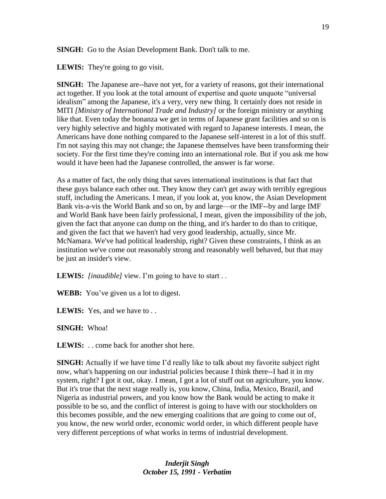**SINGH:** Go to the Asian Development Bank. Don't talk to me.

LEWIS: They're going to go visit.

**SINGH:** The Japanese are--have not yet, for a variety of reasons, got their international act together. If you look at the total amount of expertise and quote unquote "universal idealism" among the Japanese, it's a very, very new thing. It certainly does not reside in MITI *[Ministry of International Trade and Industry]* or the foreign ministry or anything like that. Even today the bonanza we get in terms of Japanese grant facilities and so on is very highly selective and highly motivated with regard to Japanese interests. I mean, the Americans have done nothing compared to the Japanese self-interest in a lot of this stuff. I'm not saying this may not change; the Japanese themselves have been transforming their society. For the first time they're coming into an international role. But if you ask me how would it have been had the Japanese controlled, the answer is far worse.

As a matter of fact, the only thing that saves international institutions is that fact that these guys balance each other out. They know they can't get away with terribly egregious stuff, including the Americans. I mean, if you look at, you know, the Asian Development Bank vis-a-vis the World Bank and so on, by and large—or the IMF--by and large IMF and World Bank have been fairly professional, I mean, given the impossibility of the job, given the fact that anyone can dump on the thing, and it's harder to do than to critique, and given the fact that we haven't had very good leadership, actually, since Mr. McNamara. We've had political leadership, right? Given these constraints, I think as an institution we've come out reasonably strong and reasonably well behaved, but that may be just an insider's view.

**LEWIS:** *[inaudible]* view. I'm going to have to start . .

**WEBB:** You've given us a lot to digest.

**LEWIS:** Yes, and we have to . .

**SINGH:** Whoa!

**LEWIS:** . . come back for another shot here.

**SINGH:** Actually if we have time I'd really like to talk about my favorite subject right now, what's happening on our industrial policies because I think there--I had it in my system, right? I got it out, okay. I mean, I got a lot of stuff out on agriculture, you know. But it's true that the next stage really is, you know, China, India, Mexico, Brazil, and Nigeria as industrial powers, and you know how the Bank would be acting to make it possible to be so, and the conflict of interest is going to have with our stockholders on this becomes possible, and the new emerging coalitions that are going to come out of, you know, the new world order, economic world order, in which different people have very different perceptions of what works in terms of industrial development.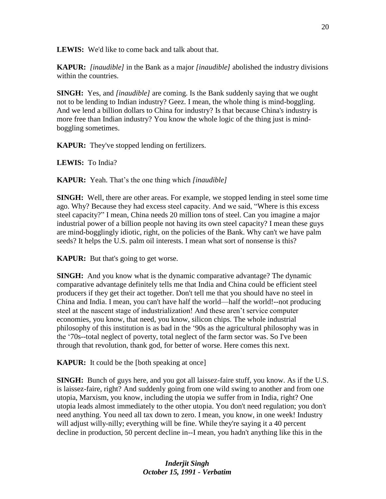**LEWIS:** We'd like to come back and talk about that.

**KAPUR:** *[inaudible]* in the Bank as a major *[inaudible]* abolished the industry divisions within the countries.

**SINGH:** Yes, and *[inaudible]* are coming. Is the Bank suddenly saying that we ought not to be lending to Indian industry? Geez. I mean, the whole thing is mind-boggling. And we lend a billion dollars to China for industry? Is that because China's industry is more free than Indian industry? You know the whole logic of the thing just is mindboggling sometimes.

**KAPUR:** They've stopped lending on fertilizers.

**LEWIS:** To India?

**KAPUR:** Yeah. That's the one thing which *[inaudible]* 

**SINGH:** Well, there are other areas. For example, we stopped lending in steel some time ago. Why? Because they had excess steel capacity. And we said, "Where is this excess steel capacity?" I mean, China needs 20 million tons of steel. Can you imagine a major industrial power of a billion people not having its own steel capacity? I mean these guys are mind-bogglingly idiotic, right, on the policies of the Bank. Why can't we have palm seeds? It helps the U.S. palm oil interests. I mean what sort of nonsense is this?

**KAPUR:** But that's going to get worse.

**SINGH:** And you know what is the dynamic comparative advantage? The dynamic comparative advantage definitely tells me that India and China could be efficient steel producers if they get their act together. Don't tell me that you should have no steel in China and India. I mean, you can't have half the world—half the world!--not producing steel at the nascent stage of industrialization! And these aren't service computer economies, you know, that need, you know, silicon chips. The whole industrial philosophy of this institution is as bad in the '90s as the agricultural philosophy was in the '70s--total neglect of poverty, total neglect of the farm sector was. So I've been through that revolution, thank god, for better of worse. Here comes this next.

**KAPUR:** It could be the [both speaking at once]

**SINGH:** Bunch of guys here, and you got all laissez-faire stuff, you know. As if the U.S. is laissez-faire, right? And suddenly going from one wild swing to another and from one utopia, Marxism, you know, including the utopia we suffer from in India, right? One utopia leads almost immediately to the other utopia. You don't need regulation; you don't need anything. You need all tax down to zero. I mean, you know, in one week! Industry will adjust willy-nilly; everything will be fine. While they're saying it a 40 percent decline in production, 50 percent decline in--I mean, you hadn't anything like this in the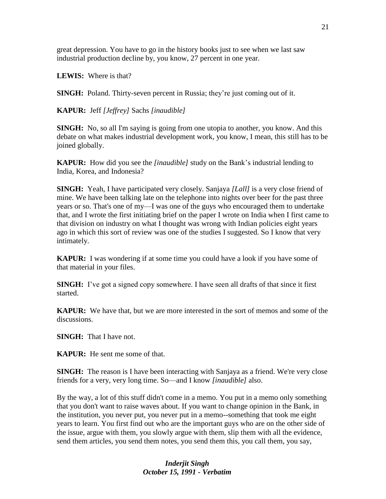great depression. You have to go in the history books just to see when we last saw industrial production decline by, you know, 27 percent in one year.

**LEWIS:** Where is that?

**SINGH:** Poland. Thirty-seven percent in Russia; they're just coming out of it.

**KAPUR:** Jeff *[Jeffrey]* Sachs *[inaudible]* 

**SINGH:** No, so all I'm saying is going from one utopia to another, you know. And this debate on what makes industrial development work, you know, I mean, this still has to be joined globally.

**KAPUR:** How did you see the *[inaudible]* study on the Bank's industrial lending to India, Korea, and Indonesia?

**SINGH:** Yeah, I have participated very closely. Sanjaya *[Lall]* is a very close friend of mine. We have been talking late on the telephone into nights over beer for the past three years or so. That's one of my—I was one of the guys who encouraged them to undertake that, and I wrote the first initiating brief on the paper I wrote on India when I first came to that division on industry on what I thought was wrong with Indian policies eight years ago in which this sort of review was one of the studies I suggested. So I know that very intimately.

**KAPUR:** I was wondering if at some time you could have a look if you have some of that material in your files.

**SINGH:** I've got a signed copy somewhere. I have seen all drafts of that since it first started.

**KAPUR:** We have that, but we are more interested in the sort of memos and some of the discussions.

**SINGH:** That I have not.

**KAPUR:** He sent me some of that.

**SINGH:** The reason is I have been interacting with Sanjaya as a friend. We're very close friends for a very, very long time. So—and I know *[inaudible]* also.

By the way, a lot of this stuff didn't come in a memo. You put in a memo only something that you don't want to raise waves about. If you want to change opinion in the Bank, in the institution, you never put, you never put in a memo--something that took me eight years to learn. You first find out who are the important guys who are on the other side of the issue, argue with them, you slowly argue with them, slip them with all the evidence, send them articles, you send them notes, you send them this, you call them, you say,